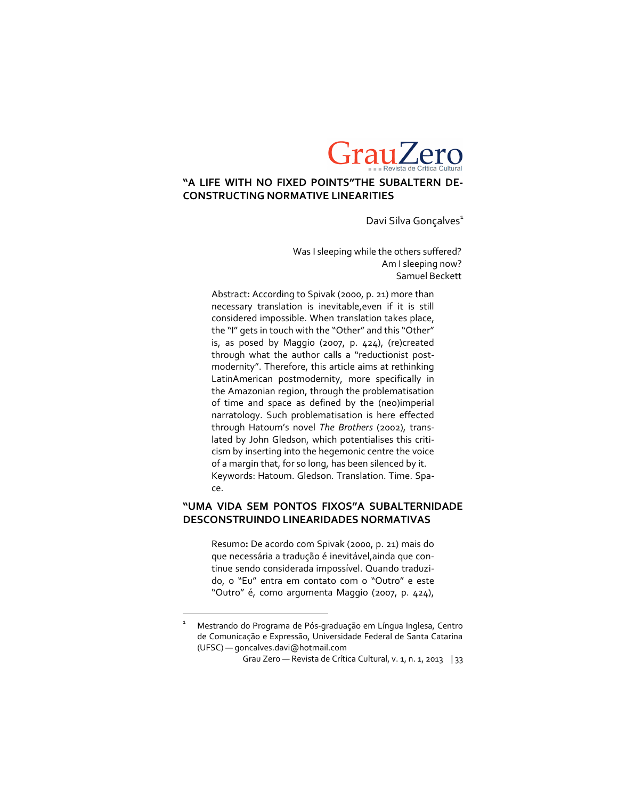

### **"A LIFE WITH NO FIXED POINTS"THE SUBALTERN DE-CONSTRUCTING NORMATIVE LINEARITIES**

Davi Silva Gonçalves<sup>1</sup>

Was I sleeping while the others suffered? Am I sleeping now? Samuel Beckett

Abstract**:** According to Spivak (2000, p. 21) more than necessary translation is inevitable,even if it is still considered impossible. When translation takes place, the "I" gets in touch with the "Other" and this "Other" is, as posed by Maggio (2007, p. 424), (re)created through what the author calls a "reductionist postmodernity". Therefore, this article aims at rethinking LatinAmerican postmodernity, more specifically in the Amazonian region, through the problematisation of time and space as defined by the (neo)imperial narratology. Such problematisation is here effected through Hatoum's novel *The Brothers* (2002), translated by John Gledson, which potentialises this criticism by inserting into the hegemonic centre the voice of a margin that, for so long, has been silenced by it. Keywords: Hatoum. Gledson. Translation. Time. Space.

### **"UMA VIDA SEM PONTOS FIXOS"A SUBALTERNIDADE DESCONSTRUINDO LINEARIDADES NORMATIVAS**

Resumo**:** De acordo com Spivak (2000, p. 21) mais do que necessária a tradução é inevitável,ainda que continue sendo considerada impossível. Quando traduzido, o "Eu" entra em contato com o "Outro" e este "Outro" é, como argumenta Maggio (2007, p. 424),

 $\overline{a}$ 

<sup>1</sup> Mestrando do Programa de Pós-graduação em Língua Inglesa, Centro de Comunicação e Expressão, Universidade Federal de Santa Catarina (UFSC) — goncalves.davi@hotmail.com

Grau Zero — Revista de Crítica Cultural, v. 1, n. 1, 2013 | 33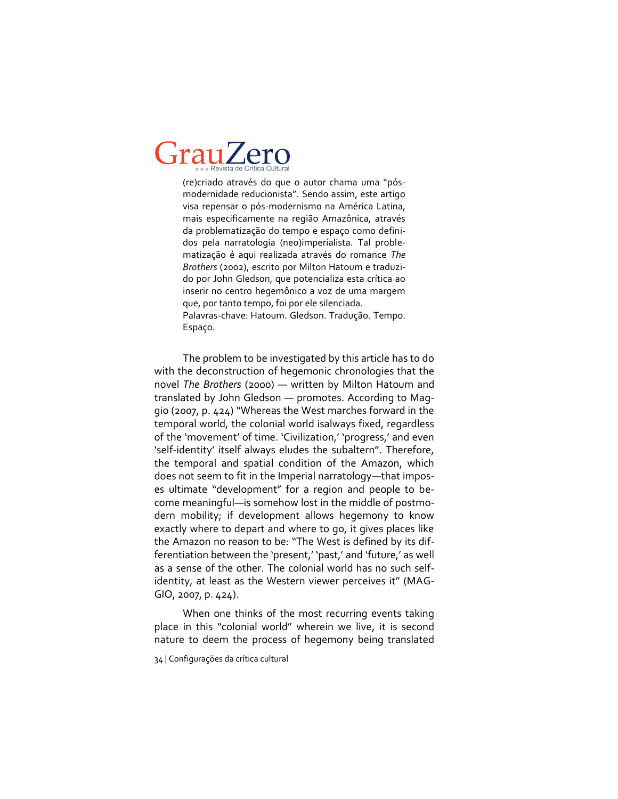(re)criado através do que o autor chama uma "pósmodernidade reducionista". Sendo assim, este artigo visa repensar o pós-modernismo na América Latina, mais especificamente na região Amazônica, através da problematização do tempo e espaço como definidos pela narratologia (neo)imperialista. Tal problematização é aqui realizada através do romance *The Brothers* (2002), escrito por Milton Hatoum e traduzido por John Gledson, que potencializa esta crítica ao inserir no centro hegemônico a voz de uma margem que, por tanto tempo, foi por ele silenciada. Palavras-chave: Hatoum. Gledson. Tradução. Tempo. Espaço.

The problem to be investigated by this article has to do with the deconstruction of hegemonic chronologies that the novel *The Brothers* (2000) — written by Milton Hatoum and translated by John Gledson — promotes. According to Maggio (2007, p. 424) "Whereas the West marches forward in the temporal world, the colonial world isalways fixed, regardless of the 'movement' of time. 'Civilization,' 'progress,' and even 'self-identity' itself always eludes the subaltern". Therefore, the temporal and spatial condition of the Amazon, which does not seem to fit in the Imperial narratology—that imposes ultimate "development" for a region and people to become meaningful—is somehow lost in the middle of postmodern mobility; if development allows hegemony to know exactly where to depart and where to go, it gives places like the Amazon no reason to be: "The West is defined by its differentiation between the 'present,' 'past,' and 'future,' as well as a sense of the other. The colonial world has no such selfidentity, at least as the Western viewer perceives it" (MAG-GIO, 2007, p. 424).

When one thinks of the most recurring events taking place in this "colonial world" wherein we live, it is second nature to deem the process of hegemony being translated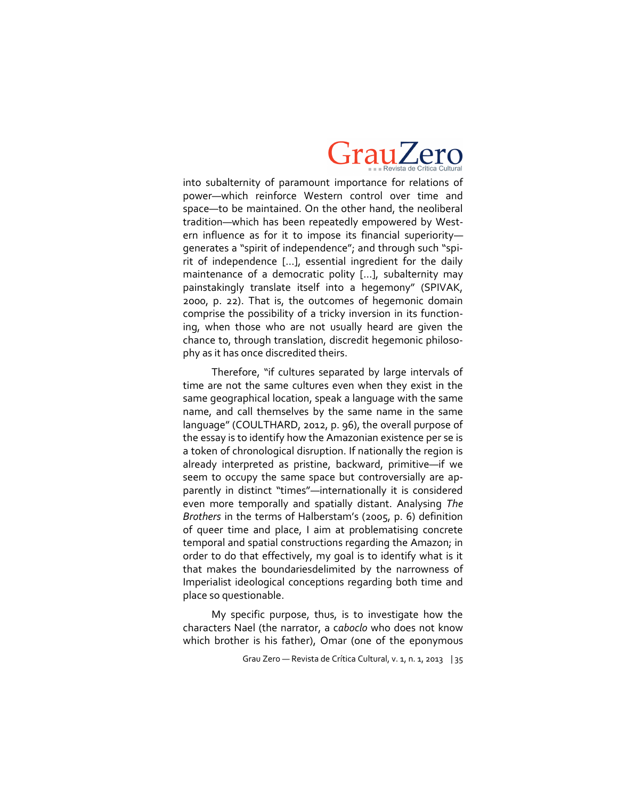

into subalternity of paramount importance for relations of power—which reinforce Western control over time and space—to be maintained. On the other hand, the neoliberal tradition—which has been repeatedly empowered by Western influence as for it to impose its financial superiority generates a "spirit of independence"; and through such "spirit of independence […], essential ingredient for the daily maintenance of a democratic polity […], subalternity may painstakingly translate itself into a hegemony" (SPIVAK, 2000, p. 22). That is, the outcomes of hegemonic domain comprise the possibility of a tricky inversion in its functioning, when those who are not usually heard are given the chance to, through translation, discredit hegemonic philosophy as it has once discredited theirs.

Therefore, "if cultures separated by large intervals of time are not the same cultures even when they exist in the same geographical location, speak a language with the same name, and call themselves by the same name in the same language" (COULTHARD, 2012, p. 96), the overall purpose of the essay is to identify how the Amazonian existence per se is a token of chronological disruption. If nationally the region is already interpreted as pristine, backward, primitive—if we seem to occupy the same space but controversially are apparently in distinct "times"—internationally it is considered even more temporally and spatially distant. Analysing *The Brothers* in the terms of Halberstam's (2005, p. 6) definition of queer time and place, I aim at problematising concrete temporal and spatial constructions regarding the Amazon; in order to do that effectively, my goal is to identify what is it that makes the boundariesdelimited by the narrowness of Imperialist ideological conceptions regarding both time and place so questionable.

My specific purpose, thus, is to investigate how the characters Nael (the narrator, a c*aboclo* who does not know which brother is his father), Omar (one of the eponymous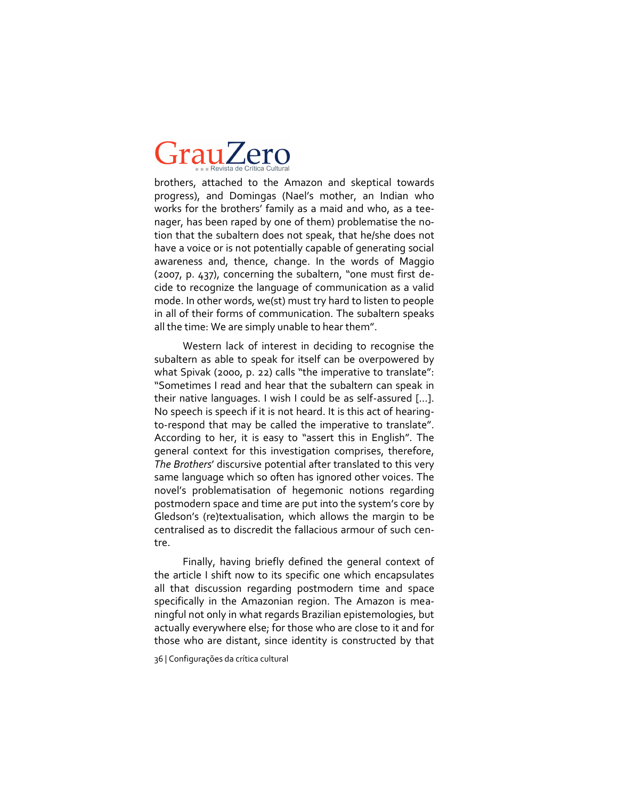brothers, attached to the Amazon and skeptical towards progress), and Domingas (Nael's mother, an Indian who works for the brothers' family as a maid and who, as a teenager, has been raped by one of them) problematise the notion that the subaltern does not speak, that he/she does not have a voice or is not potentially capable of generating social awareness and, thence, change. In the words of Maggio (2007, p. 437), concerning the subaltern, "one must first decide to recognize the language of communication as a valid mode. In other words, we(st) must try hard to listen to people in all of their forms of communication. The subaltern speaks all the time: We are simply unable to hear them".

Western lack of interest in deciding to recognise the subaltern as able to speak for itself can be overpowered by what Spivak (2000, p. 22) calls "the imperative to translate": "Sometimes I read and hear that the subaltern can speak in their native languages. I wish I could be as self-assured  $[...]$ . No speech is speech if it is not heard. It is this act of hearingto-respond that may be called the imperative to translate". According to her, it is easy to "assert this in English". The general context for this investigation comprises, therefore, *The Brothers*' discursive potential after translated to this very same language which so often has ignored other voices. The novel's problematisation of hegemonic notions regarding postmodern space and time are put into the system's core by Gledson's (re)textualisation, which allows the margin to be centralised as to discredit the fallacious armour of such centre.

Finally, having briefly defined the general context of the article I shift now to its specific one which encapsulates all that discussion regarding postmodern time and space specifically in the Amazonian region. The Amazon is meaningful not only in what regards Brazilian epistemologies, but actually everywhere else; for those who are close to it and for those who are distant, since identity is constructed by that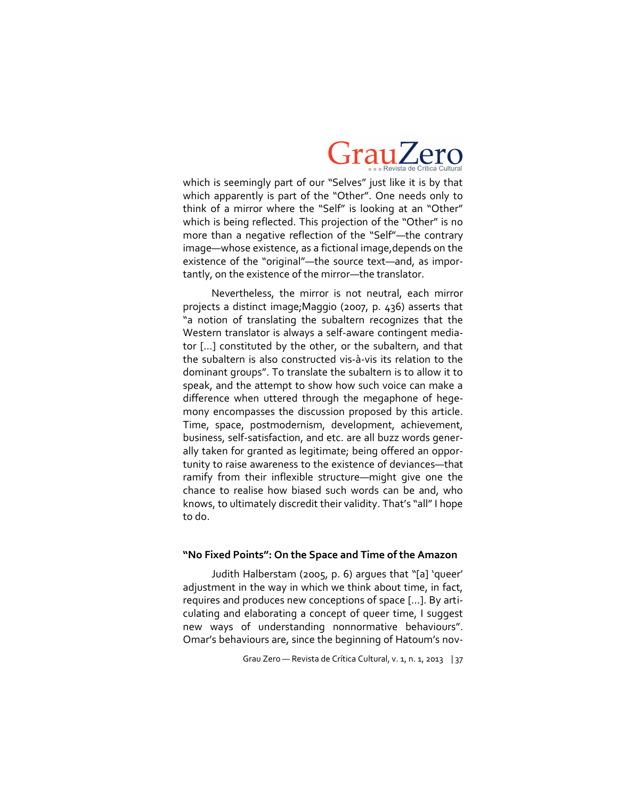

which is seemingly part of our "Selves" just like it is by that which apparently is part of the "Other". One needs only to think of a mirror where the "Self" is looking at an "Other" which is being reflected. This projection of the "Other" is no more than a negative reflection of the "Self"—the contrary image—whose existence, as a fictional image,depends on the existence of the "original"—the source text—and, as importantly, on the existence of the mirror—the translator.

Nevertheless, the mirror is not neutral, each mirror projects a distinct image;Maggio (2007, p. 436) asserts that "a notion of translating the subaltern recognizes that the Western translator is always a self-aware contingent mediator […] constituted by the other, or the subaltern, and that the subaltern is also constructed vis-à-vis its relation to the dominant groups". To translate the subaltern is to allow it to speak, and the attempt to show how such voice can make a difference when uttered through the megaphone of hegemony encompasses the discussion proposed by this article. Time, space, postmodernism, development, achievement, business, self-satisfaction, and etc. are all buzz words generally taken for granted as legitimate; being offered an opportunity to raise awareness to the existence of deviances—that ramify from their inflexible structure—might give one the chance to realise how biased such words can be and, who knows, to ultimately discredit their validity. That's "all" I hope to do.

#### **"No Fixed Points": On the Space and Time of the Amazon**

Judith Halberstam (2005, p. 6) argues that "[a] 'queer' adjustment in the way in which we think about time, in fact, requires and produces new conceptions of space […]. By articulating and elaborating a concept of queer time, I suggest new ways of understanding nonnormative behaviours". Omar's behaviours are, since the beginning of Hatoum's nov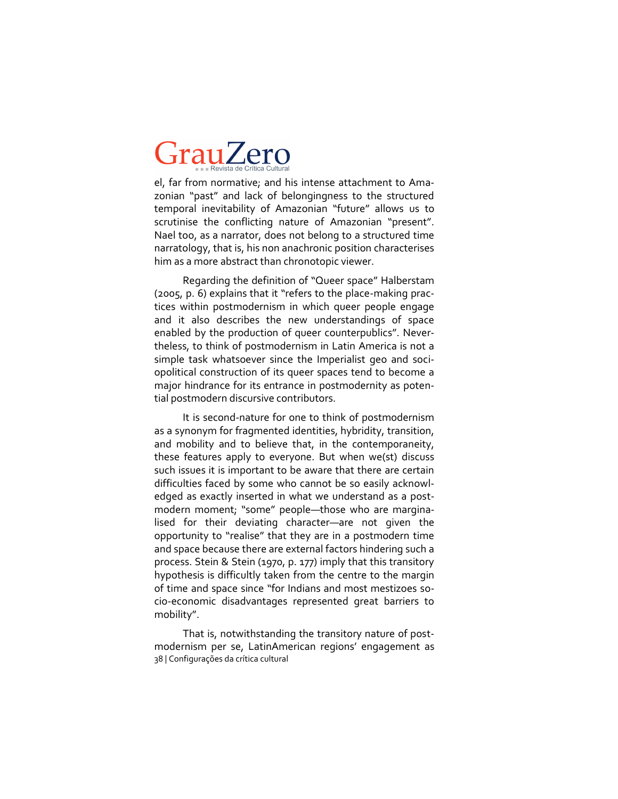el, far from normative; and his intense attachment to Amazonian "past" and lack of belongingness to the structured temporal inevitability of Amazonian "future" allows us to scrutinise the conflicting nature of Amazonian "present". Nael too, as a narrator, does not belong to a structured time narratology, that is, his non anachronic position characterises him as a more abstract than chronotopic viewer.

Regarding the definition of "Queer space" Halberstam  $(2005, p. 6)$  explains that it "refers to the place-making practices within postmodernism in which queer people engage and it also describes the new understandings of space enabled by the production of queer counterpublics". Nevertheless, to think of postmodernism in Latin America is not a simple task whatsoever since the Imperialist geo and sociopolitical construction of its queer spaces tend to become a major hindrance for its entrance in postmodernity as potential postmodern discursive contributors.

It is second-nature for one to think of postmodernism as a synonym for fragmented identities, hybridity, transition, and mobility and to believe that, in the contemporaneity, these features apply to everyone. But when we(st) discuss such issues it is important to be aware that there are certain difficulties faced by some who cannot be so easily acknowledged as exactly inserted in what we understand as a postmodern moment; "some" people—those who are marginalised for their deviating character—are not given the opportunity to "realise" that they are in a postmodern time and space because there are external factors hindering such a process. Stein & Stein (1970, p. 177) imply that this transitory hypothesis is difficultly taken from the centre to the margin of time and space since "for Indians and most mestizoes socio-economic disadvantages represented great barriers to mobility".

38 | Configurações da crítica cultural That is, notwithstanding the transitory nature of postmodernism per se, LatinAmerican regions' engagement as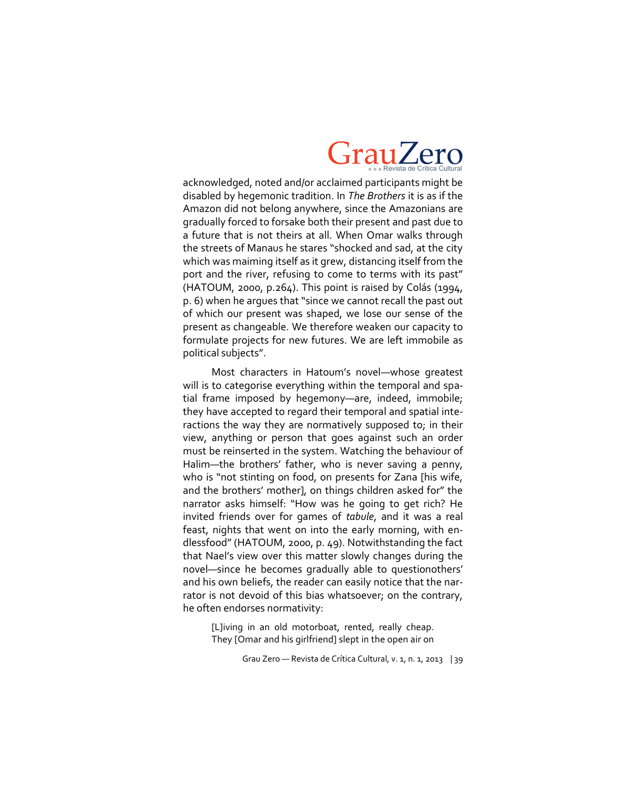

acknowledged, noted and/or acclaimed participants might be disabled by hegemonic tradition. In *The Brothers* it is as if the Amazon did not belong anywhere, since the Amazonians are gradually forced to forsake both their present and past due to a future that is not theirs at all. When Omar walks through the streets of Manaus he stares "shocked and sad, at the city which was maiming itself as it grew, distancing itself from the port and the river, refusing to come to terms with its past" (HATOUM, 2000, p.264). This point is raised by Colás (1994, p. 6) when he argues that "since we cannot recall the past out of which our present was shaped, we lose our sense of the present as changeable. We therefore weaken our capacity to formulate projects for new futures. We are left immobile as political subjects".

Most characters in Hatoum's novel—whose greatest will is to categorise everything within the temporal and spatial frame imposed by hegemony—are, indeed, immobile; they have accepted to regard their temporal and spatial interactions the way they are normatively supposed to; in their view, anything or person that goes against such an order must be reinserted in the system. Watching the behaviour of Halim—the brothers' father, who is never saving a penny, who is "not stinting on food, on presents for Zana [his wife, and the brothers' mother], on things children asked for" the narrator asks himself: "How was he going to get rich? He invited friends over for games of *tabule*, and it was a real feast, nights that went on into the early morning, with endlessfood" (HATOUM, 2000, p. 49). Notwithstanding the fact that Nael's view over this matter slowly changes during the novel—since he becomes gradually able to questionothers' and his own beliefs, the reader can easily notice that the narrator is not devoid of this bias whatsoever; on the contrary, he often endorses normativity:

[L]iving in an old motorboat, rented, really cheap. They [Omar and his girlfriend] slept in the open air on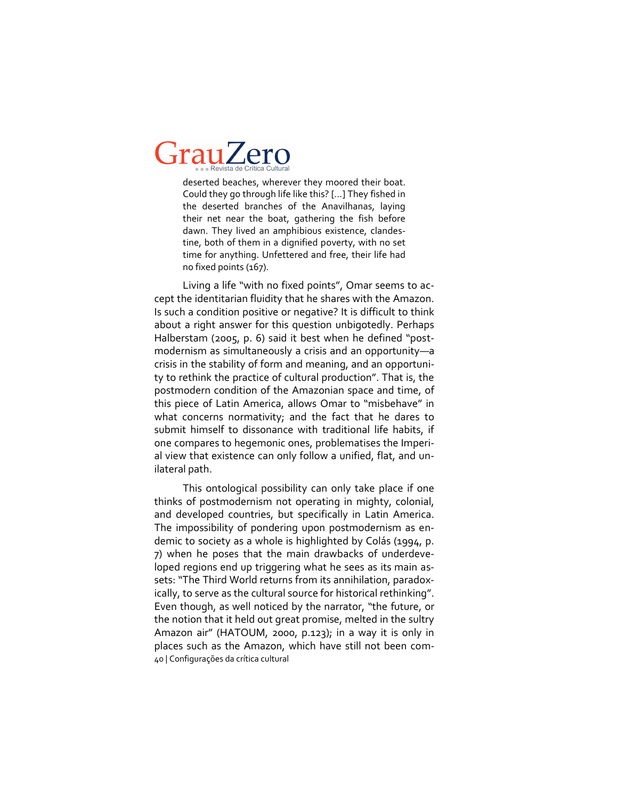deserted beaches, wherever they moored their boat. Could they go through life like this? […] They fished in the deserted branches of the Anavilhanas, laying their net near the boat, gathering the fish before dawn. They lived an amphibious existence, clandestine, both of them in a dignified poverty, with no set time for anything. Unfettered and free, their life had no fixed points (167).

Living a life "with no fixed points", Omar seems to accept the identitarian fluidity that he shares with the Amazon. Is such a condition positive or negative? It is difficult to think about a right answer for this question unbigotedly. Perhaps Halberstam (2005, p. 6) said it best when he defined "postmodernism as simultaneously a crisis and an opportunity—a crisis in the stability of form and meaning, and an opportunity to rethink the practice of cultural production". That is, the postmodern condition of the Amazonian space and time, of this piece of Latin America, allows Omar to "misbehave" in what concerns normativity; and the fact that he dares to submit himself to dissonance with traditional life habits, if one compares to hegemonic ones, problematises the Imperial view that existence can only follow a unified, flat, and unilateral path.

40 | Configurações da crítica cultural This ontological possibility can only take place if one thinks of postmodernism not operating in mighty, colonial, and developed countries, but specifically in Latin America. The impossibility of pondering upon postmodernism as endemic to society as a whole is highlighted by Colás (1994, p. 7) when he poses that the main drawbacks of underdeveloped regions end up triggering what he sees as its main assets: "The Third World returns from its annihilation, paradoxically, to serve as the cultural source for historical rethinking". Even though, as well noticed by the narrator, "the future, or the notion that it held out great promise, melted in the sultry Amazon air" (HATOUM, 2000, p.123); in a way it is only in places such as the Amazon, which have still not been com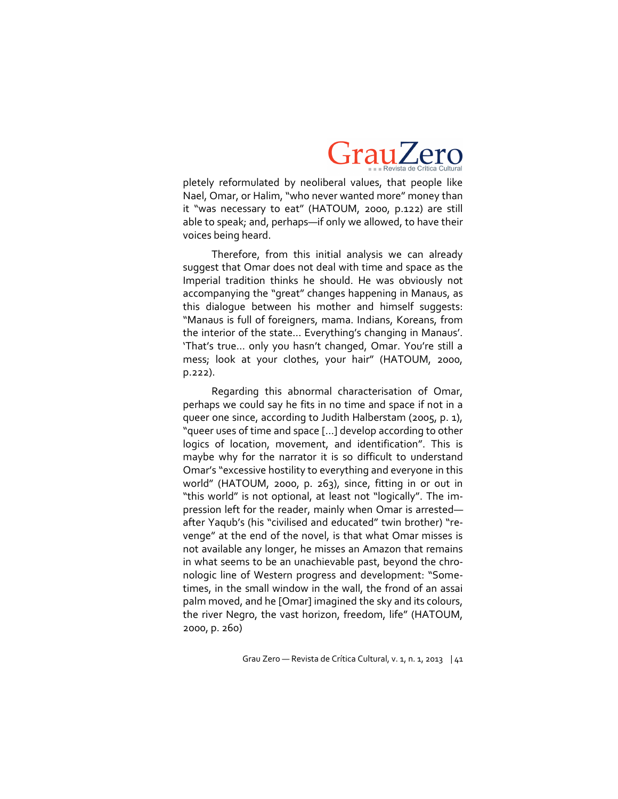

pletely reformulated by neoliberal values, that people like Nael, Omar, or Halim, "who never wanted more" money than it "was necessary to eat" (HATOUM, 2000, p.122) are still able to speak; and, perhaps—if only we allowed, to have their voices being heard.

Therefore, from this initial analysis we can already suggest that Omar does not deal with time and space as the Imperial tradition thinks he should. He was obviously not accompanying the "great" changes happening in Manaus, as this dialogue between his mother and himself suggests: "Manaus is full of foreigners, mama. Indians, Koreans, from the interior of the state… Everything's changing in Manaus'. 'That's true… only you hasn't changed, Omar. You're still a mess; look at your clothes, your hair" (HATOUM, 2000, p.222).

Regarding this abnormal characterisation of Omar, perhaps we could say he fits in no time and space if not in a queer one since, according to Judith Halberstam (2005, p. 1), "queer uses of time and space […] develop according to other logics of location, movement, and identification". This is maybe why for the narrator it is so difficult to understand Omar's "excessive hostility to everything and everyone in this world" (HATOUM, 2000, p. 263), since, fitting in or out in "this world" is not optional, at least not "logically". The impression left for the reader, mainly when Omar is arrested after Yaqub's (his "civilised and educated" twin brother) "revenge" at the end of the novel, is that what Omar misses is not available any longer, he misses an Amazon that remains in what seems to be an unachievable past, beyond the chronologic line of Western progress and development: "Sometimes, in the small window in the wall, the frond of an assai palm moved, and he [Omar] imagined the sky and its colours, the river Negro, the vast horizon, freedom, life" (HATOUM, 2000, p. 260)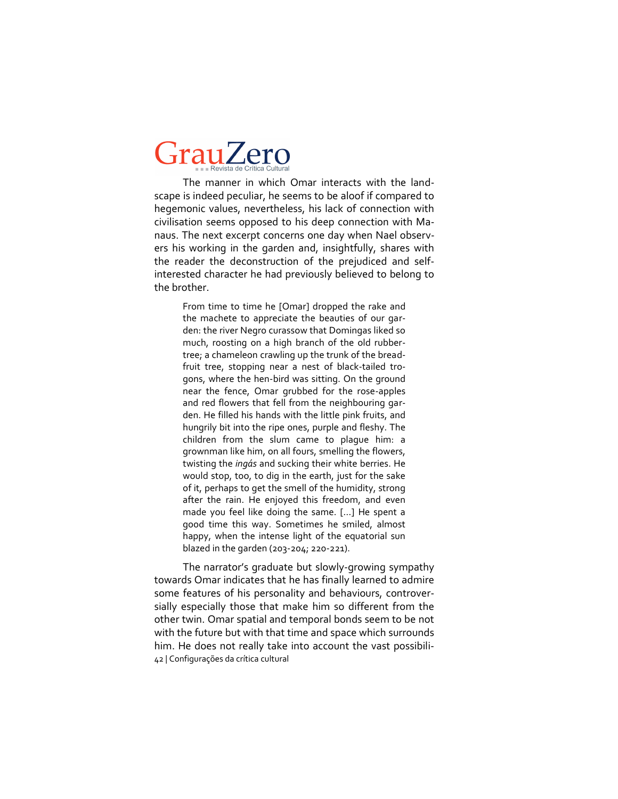The manner in which Omar interacts with the landscape is indeed peculiar, he seems to be aloof if compared to hegemonic values, nevertheless, his lack of connection with civilisation seems opposed to his deep connection with Manaus. The next excerpt concerns one day when Nael observers his working in the garden and, insightfully, shares with the reader the deconstruction of the prejudiced and selfinterested character he had previously believed to belong to the brother.

From time to time he [Omar] dropped the rake and the machete to appreciate the beauties of our garden: the river Negro curassow that Domingas liked so much, roosting on a high branch of the old rubbertree; a chameleon crawling up the trunk of the breadfruit tree, stopping near a nest of black-tailed trogons, where the hen-bird was sitting. On the ground near the fence, Omar grubbed for the rose-apples and red flowers that fell from the neighbouring garden. He filled his hands with the little pink fruits, and hungrily bit into the ripe ones, purple and fleshy. The children from the slum came to plague him: a grownman like him, on all fours, smelling the flowers, twisting the *ingás* and sucking their white berries. He would stop, too, to dig in the earth, just for the sake of it, perhaps to get the smell of the humidity, strong after the rain. He enjoyed this freedom, and even made you feel like doing the same. […] He spent a good time this way. Sometimes he smiled, almost happy, when the intense light of the equatorial sun blazed in the garden (203-204; 220-221).

42 | Configurações da crítica cultural The narrator's graduate but slowly-growing sympathy towards Omar indicates that he has finally learned to admire some features of his personality and behaviours, controversially especially those that make him so different from the other twin. Omar spatial and temporal bonds seem to be not with the future but with that time and space which surrounds him. He does not really take into account the vast possibili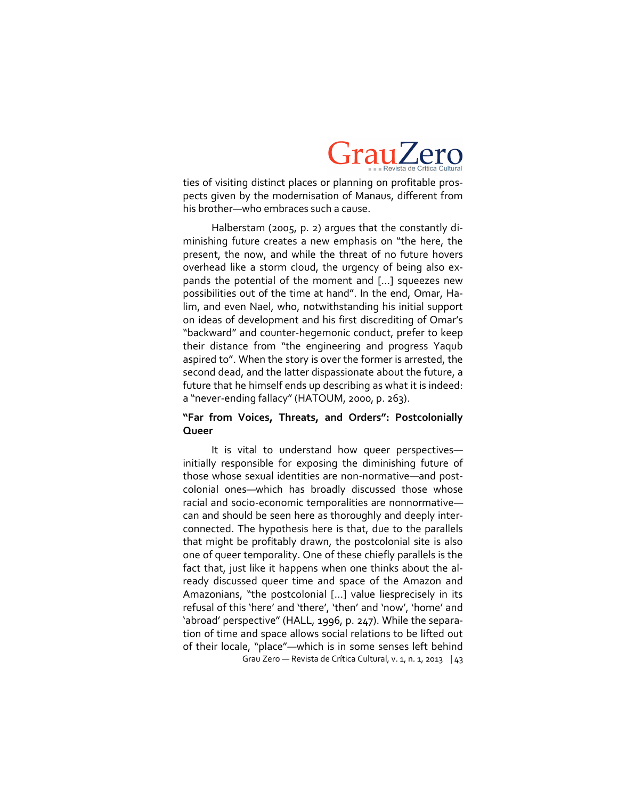

ties of visiting distinct places or planning on profitable prospects given by the modernisation of Manaus, different from his brother—who embraces such a cause.

Halberstam (2005, p. 2) argues that the constantly diminishing future creates a new emphasis on "the here, the present, the now, and while the threat of no future hovers overhead like a storm cloud, the urgency of being also expands the potential of the moment and […] squeezes new possibilities out of the time at hand". In the end, Omar, Halim, and even Nael, who, notwithstanding his initial support on ideas of development and his first discrediting of Omar's "backward" and counter-hegemonic conduct, prefer to keep their distance from "the engineering and progress Yaqub aspired to". When the story is over the former is arrested, the second dead, and the latter dispassionate about the future, a future that he himself ends up describing as what it is indeed: a "never-ending fallacy" (HATOUM, 2000, p. 263).

### **"Far from Voices, Threats, and Orders": Postcolonially Queer**

Grau Zero — Revista de Crítica Cultural, v. 1, n. 1, 2013 | 43 It is vital to understand how queer perspectives initially responsible for exposing the diminishing future of those whose sexual identities are non-normative—and postcolonial ones—which has broadly discussed those whose racial and socio-economic temporalities are nonnormativecan and should be seen here as thoroughly and deeply interconnected. The hypothesis here is that, due to the parallels that might be profitably drawn, the postcolonial site is also one of queer temporality. One of these chiefly parallels is the fact that, just like it happens when one thinks about the already discussed queer time and space of the Amazon and Amazonians, "the postcolonial […] value liesprecisely in its refusal of this 'here' and 'there', 'then' and 'now', 'home' and 'abroad' perspective" (HALL, 1996, p. 247). While the separation of time and space allows social relations to be lifted out of their locale, "place"—which is in some senses left behind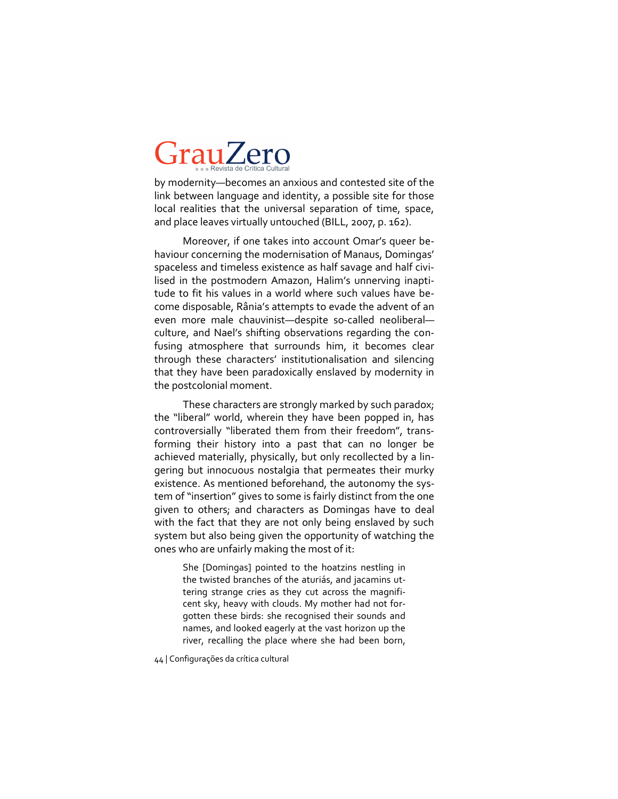by modernity—becomes an anxious and contested site of the link between language and identity, a possible site for those local realities that the universal separation of time, space, and place leaves virtually untouched (BILL, 2007, p. 162).

Moreover, if one takes into account Omar's queer behaviour concerning the modernisation of Manaus, Domingas' spaceless and timeless existence as half savage and half civilised in the postmodern Amazon, Halim's unnerving inaptitude to fit his values in a world where such values have become disposable, Rânia's attempts to evade the advent of an even more male chauvinist-despite so-called neoliberalculture, and Nael's shifting observations regarding the confusing atmosphere that surrounds him, it becomes clear through these characters' institutionalisation and silencing that they have been paradoxically enslaved by modernity in the postcolonial moment.

These characters are strongly marked by such paradox; the "liberal" world, wherein they have been popped in, has controversially "liberated them from their freedom", transforming their history into a past that can no longer be achieved materially, physically, but only recollected by a lingering but innocuous nostalgia that permeates their murky existence. As mentioned beforehand, the autonomy the system of "insertion" gives to some is fairly distinct from the one given to others; and characters as Domingas have to deal with the fact that they are not only being enslaved by such system but also being given the opportunity of watching the ones who are unfairly making the most of it:

> She [Domingas] pointed to the hoatzins nestling in the twisted branches of the aturiás, and jacamins uttering strange cries as they cut across the magnificent sky, heavy with clouds. My mother had not forgotten these birds: she recognised their sounds and names, and looked eagerly at the vast horizon up the river, recalling the place where she had been born,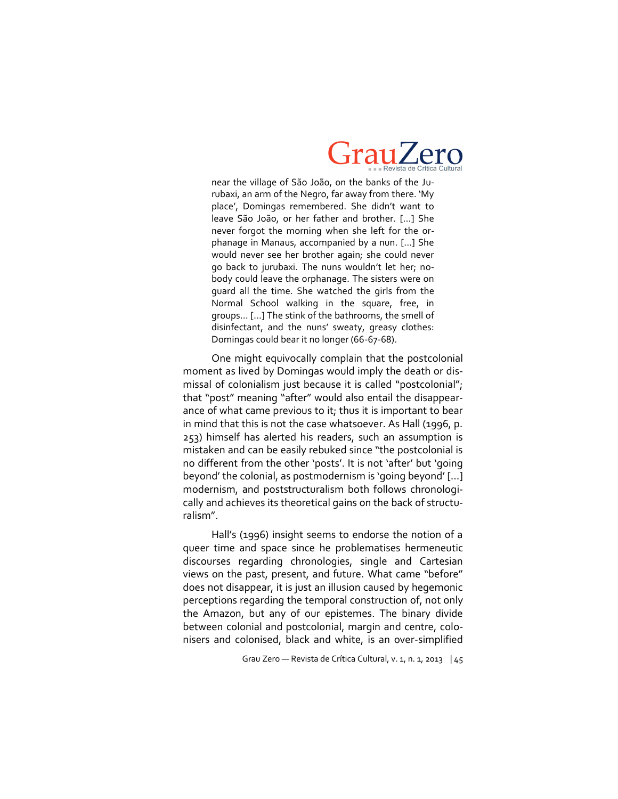

near the village of São João, on the banks of the Jurubaxi, an arm of the Negro, far away from there. 'My place', Domingas remembered. She didn't want to leave São João, or her father and brother. [...] She never forgot the morning when she left for the orphanage in Manaus, accompanied by a nun. […] She would never see her brother again; she could never go back to jurubaxi. The nuns wouldn't let her; nobody could leave the orphanage. The sisters were on guard all the time. She watched the girls from the Normal School walking in the square, free, in groups… […] The stink of the bathrooms, the smell of disinfectant, and the nuns' sweaty, greasy clothes: Domingas could bear it no longer (66-67-68).

One might equivocally complain that the postcolonial moment as lived by Domingas would imply the death or dismissal of colonialism just because it is called "postcolonial"; that "post" meaning "after" would also entail the disappearance of what came previous to it; thus it is important to bear in mind that this is not the case whatsoever. As Hall (1996, p. 253) himself has alerted his readers, such an assumption is mistaken and can be easily rebuked since "the postcolonial is no different from the other 'posts'. It is not 'after' but 'going beyond' the colonial, as postmodernism is 'going beyond' […] modernism, and poststructuralism both follows chronologically and achieves its theoretical gains on the back of structuralism".

Hall's (1996) insight seems to endorse the notion of a queer time and space since he problematises hermeneutic discourses regarding chronologies, single and Cartesian views on the past, present, and future. What came "before" does not disappear, it is just an illusion caused by hegemonic perceptions regarding the temporal construction of, not only the Amazon, but any of our epistemes. The binary divide between colonial and postcolonial, margin and centre, colonisers and colonised, black and white, is an over-simplified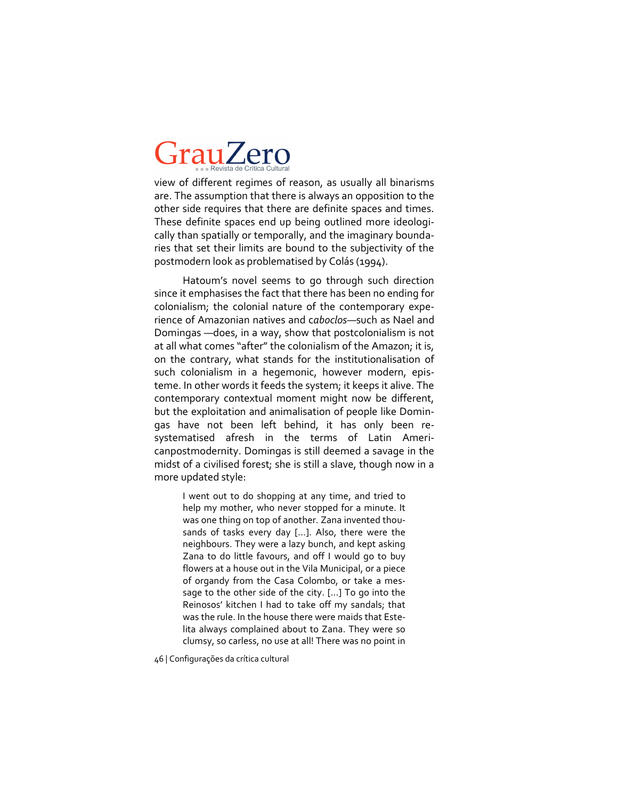view of different regimes of reason, as usually all binarisms are. The assumption that there is always an opposition to the other side requires that there are definite spaces and times. These definite spaces end up being outlined more ideologically than spatially or temporally, and the imaginary boundaries that set their limits are bound to the subjectivity of the postmodern look as problematised by Colás (1994).

Hatoum's novel seems to go through such direction since it emphasises the fact that there has been no ending for colonialism; the colonial nature of the contemporary experience of Amazonian natives and c*aboclos*—such as Nael and Domingas —does, in a way, show that postcolonialism is not at all what comes "after" the colonialism of the Amazon; it is, on the contrary, what stands for the institutionalisation of such colonialism in a hegemonic, however modern, episteme. In other words it feeds the system; it keeps it alive. The contemporary contextual moment might now be different, but the exploitation and animalisation of people like Domingas have not been left behind, it has only been resystematised afresh in the terms of Latin Americanpostmodernity. Domingas is still deemed a savage in the midst of a civilised forest; she is still a slave, though now in a more updated style:

> I went out to do shopping at any time, and tried to help my mother, who never stopped for a minute. It was one thing on top of another. Zana invented thousands of tasks every day […]. Also, there were the neighbours. They were a lazy bunch, and kept asking Zana to do little favours, and off I would go to buy flowers at a house out in the Vila Municipal, or a piece of organdy from the Casa Colombo, or take a message to the other side of the city. […] To go into the Reinosos' kitchen I had to take off my sandals; that was the rule. In the house there were maids that Estelita always complained about to Zana. They were so clumsy, so carless, no use at all! There was no point in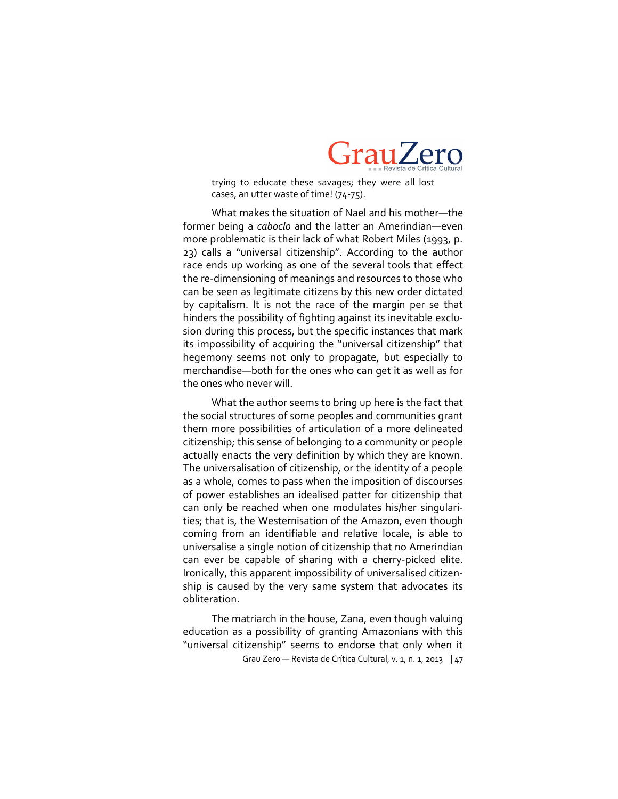

trying to educate these savages; they were all lost cases, an utter waste of time! (74-75).

What makes the situation of Nael and his mother—the former being a *caboclo* and the latter an Amerindian—even more problematic is their lack of what Robert Miles (1993, p. 23) calls a "universal citizenship". According to the author race ends up working as one of the several tools that effect the re-dimensioning of meanings and resources to those who can be seen as legitimate citizens by this new order dictated by capitalism. It is not the race of the margin per se that hinders the possibility of fighting against its inevitable exclusion during this process, but the specific instances that mark its impossibility of acquiring the "universal citizenship" that hegemony seems not only to propagate, but especially to merchandise—both for the ones who can get it as well as for the ones who never will.

What the author seems to bring up here is the fact that the social structures of some peoples and communities grant them more possibilities of articulation of a more delineated citizenship; this sense of belonging to a community or people actually enacts the very definition by which they are known. The universalisation of citizenship, or the identity of a people as a whole, comes to pass when the imposition of discourses of power establishes an idealised patter for citizenship that can only be reached when one modulates his/her singularities; that is, the Westernisation of the Amazon, even though coming from an identifiable and relative locale, is able to universalise a single notion of citizenship that no Amerindian can ever be capable of sharing with a cherry-picked elite. Ironically, this apparent impossibility of universalised citizenship is caused by the very same system that advocates its obliteration.

Grau Zero — Revista de Crítica Cultural, v. 1, n. 1, 2013 | 47 The matriarch in the house, Zana, even though valuing education as a possibility of granting Amazonians with this "universal citizenship" seems to endorse that only when it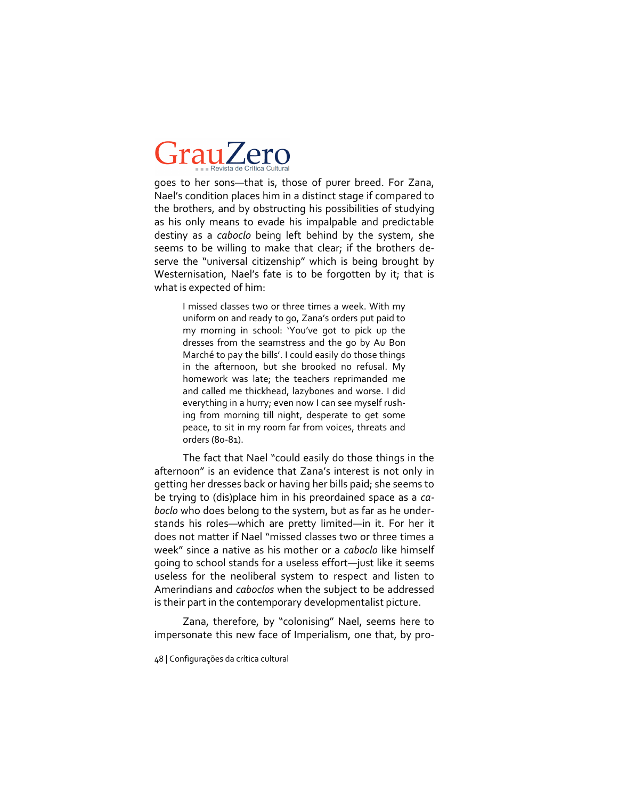goes to her sons—that is, those of purer breed. For Zana, Nael's condition places him in a distinct stage if compared to the brothers, and by obstructing his possibilities of studying as his only means to evade his impalpable and predictable destiny as a *caboclo* being left behind by the system, she seems to be willing to make that clear; if the brothers deserve the "universal citizenship" which is being brought by Westernisation, Nael's fate is to be forgotten by it; that is what is expected of him:

> I missed classes two or three times a week. With my uniform on and ready to go, Zana's orders put paid to my morning in school: 'You've got to pick up the dresses from the seamstress and the go by Au Bon Marché to pay the bills'. I could easily do those things in the afternoon, but she brooked no refusal. My homework was late; the teachers reprimanded me and called me thickhead, lazybones and worse. I did everything in a hurry; even now I can see myself rushing from morning till night, desperate to get some peace, to sit in my room far from voices, threats and orders (80-81).

The fact that Nael "could easily do those things in the afternoon" is an evidence that Zana's interest is not only in getting her dresses back or having her bills paid; she seems to be trying to (dis)place him in his preordained space as a *caboclo* who does belong to the system, but as far as he understands his roles—which are pretty limited—in it. For her it does not matter if Nael "missed classes two or three times a week" since a native as his mother or a *caboclo* like himself going to school stands for a useless effort—just like it seems useless for the neoliberal system to respect and listen to Amerindians and *caboclos* when the subject to be addressed is their part in the contemporary developmentalist picture.

Zana, therefore, by "colonising" Nael, seems here to impersonate this new face of Imperialism, one that, by pro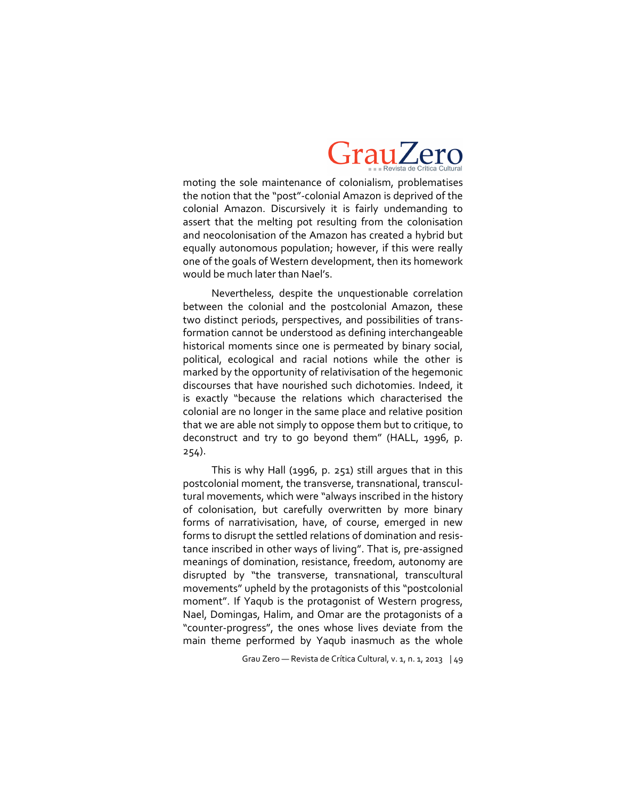

moting the sole maintenance of colonialism, problematises the notion that the "post"-colonial Amazon is deprived of the colonial Amazon. Discursively it is fairly undemanding to assert that the melting pot resulting from the colonisation and neocolonisation of the Amazon has created a hybrid but equally autonomous population; however, if this were really one of the goals of Western development, then its homework would be much later than Nael's.

Nevertheless, despite the unquestionable correlation between the colonial and the postcolonial Amazon, these two distinct periods, perspectives, and possibilities of transformation cannot be understood as defining interchangeable historical moments since one is permeated by binary social, political, ecological and racial notions while the other is marked by the opportunity of relativisation of the hegemonic discourses that have nourished such dichotomies. Indeed, it is exactly "because the relations which characterised the colonial are no longer in the same place and relative position that we are able not simply to oppose them but to critique, to deconstruct and try to go beyond them" (HALL, 1996, p. 254).

This is why Hall (1996, p. 251) still argues that in this postcolonial moment, the transverse, transnational, transcultural movements, which were "always inscribed in the history of colonisation, but carefully overwritten by more binary forms of narrativisation, have, of course, emerged in new forms to disrupt the settled relations of domination and resistance inscribed in other ways of living". That is, pre-assigned meanings of domination, resistance, freedom, autonomy are disrupted by "the transverse, transnational, transcultural movements" upheld by the protagonists of this "postcolonial moment". If Yaqub is the protagonist of Western progress, Nael, Domingas, Halim, and Omar are the protagonists of a "counter-progress", the ones whose lives deviate from the main theme performed by Yaqub inasmuch as the whole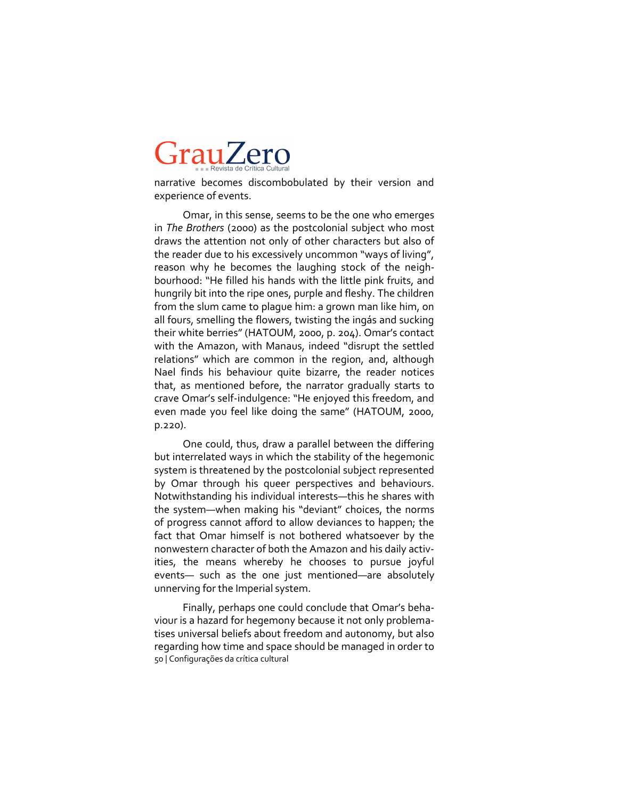narrative becomes discombobulated by their version and experience of events.

Omar, in this sense, seems to be the one who emerges in *The Brothers* (2000) as the postcolonial subject who most draws the attention not only of other characters but also of the reader due to his excessively uncommon "ways of living", reason why he becomes the laughing stock of the neighbourhood: "He filled his hands with the little pink fruits, and hungrily bit into the ripe ones, purple and fleshy. The children from the slum came to plague him: a grown man like him, on all fours, smelling the flowers, twisting the ingás and sucking their white berries" (HATOUM, 2000, p. 204). Omar's contact with the Amazon, with Manaus, indeed "disrupt the settled relations" which are common in the region, and, although Nael finds his behaviour quite bizarre, the reader notices that, as mentioned before, the narrator gradually starts to crave Omar's self-indulgence: "He enjoyed this freedom, and even made you feel like doing the same" (HATOUM, 2000, p.220).

One could, thus, draw a parallel between the differing but interrelated ways in which the stability of the hegemonic system is threatened by the postcolonial subject represented by Omar through his queer perspectives and behaviours. Notwithstanding his individual interests—this he shares with the system—when making his "deviant" choices, the norms of progress cannot afford to allow deviances to happen; the fact that Omar himself is not bothered whatsoever by the nonwestern character of both the Amazon and his daily activities, the means whereby he chooses to pursue joyful events— such as the one just mentioned—are absolutely unnerving for the Imperial system.

50 | Configurações da crítica cultural Finally, perhaps one could conclude that Omar's behaviour is a hazard for hegemony because it not only problematises universal beliefs about freedom and autonomy, but also regarding how time and space should be managed in order to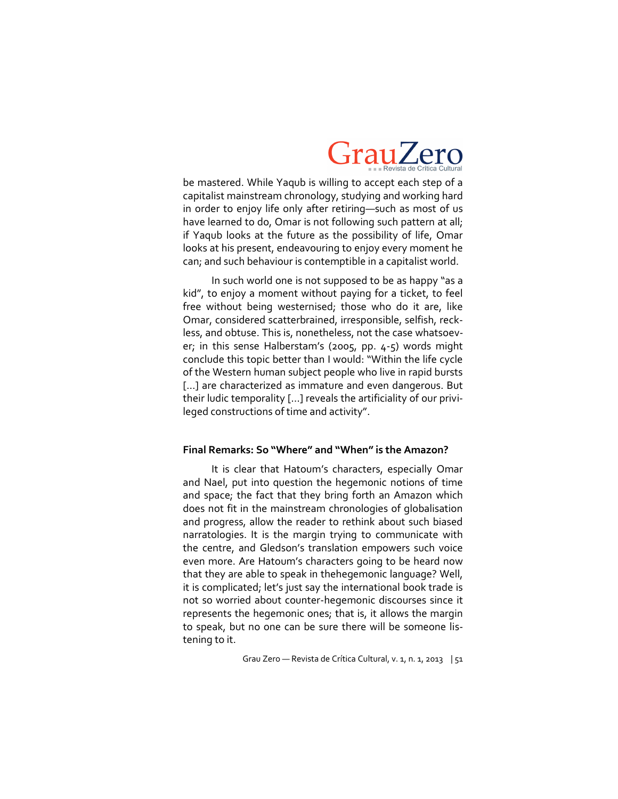

be mastered. While Yaqub is willing to accept each step of a capitalist mainstream chronology, studying and working hard in order to enjoy life only after retiring—such as most of us have learned to do, Omar is not following such pattern at all; if Yaqub looks at the future as the possibility of life, Omar looks at his present, endeavouring to enjoy every moment he can; and such behaviour is contemptible in a capitalist world.

In such world one is not supposed to be as happy "as a kid", to enjoy a moment without paying for a ticket, to feel free without being westernised; those who do it are, like Omar, considered scatterbrained, irresponsible, selfish, reckless, and obtuse. This is, nonetheless, not the case whatsoever; in this sense Halberstam's (2005, pp.  $4-5$ ) words might conclude this topic better than I would: "Within the life cycle of the Western human subject people who live in rapid bursts [...] are characterized as immature and even dangerous. But their ludic temporality […] reveals the artificiality of our privileged constructions of time and activity".

#### **Final Remarks: So "Where" and "When" is the Amazon?**

It is clear that Hatoum's characters, especially Omar and Nael, put into question the hegemonic notions of time and space; the fact that they bring forth an Amazon which does not fit in the mainstream chronologies of globalisation and progress, allow the reader to rethink about such biased narratologies. It is the margin trying to communicate with the centre, and Gledson's translation empowers such voice even more. Are Hatoum's characters going to be heard now that they are able to speak in thehegemonic language? Well, it is complicated; let's just say the international book trade is not so worried about counter-hegemonic discourses since it represents the hegemonic ones; that is, it allows the margin to speak, but no one can be sure there will be someone listening to it.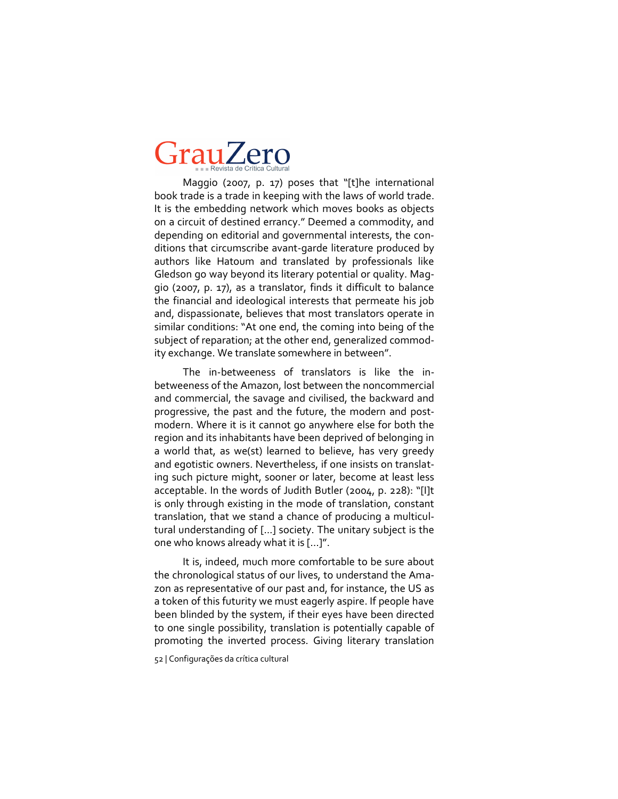Maggio (2007, p. 17) poses that "[t]he international book trade is a trade in keeping with the laws of world trade. It is the embedding network which moves books as objects on a circuit of destined errancy." Deemed a commodity, and depending on editorial and governmental interests, the conditions that circumscribe avant-garde literature produced by authors like Hatoum and translated by professionals like Gledson go way beyond its literary potential or quality. Maggio (2007, p. 17), as a translator, finds it difficult to balance the financial and ideological interests that permeate his job and, dispassionate, believes that most translators operate in similar conditions: "At one end, the coming into being of the subject of reparation; at the other end, generalized commodity exchange. We translate somewhere in between".

The in-betweeness of translators is like the inbetweeness of the Amazon, lost between the noncommercial and commercial, the savage and civilised, the backward and progressive, the past and the future, the modern and postmodern. Where it is it cannot go anywhere else for both the region and its inhabitants have been deprived of belonging in a world that, as we(st) learned to believe, has very greedy and egotistic owners. Nevertheless, if one insists on translating such picture might, sooner or later, become at least less acceptable. In the words of Judith Butler (2004, p. 228): "[I]t is only through existing in the mode of translation, constant translation, that we stand a chance of producing a multicultural understanding of [...] society. The unitary subject is the one who knows already what it is [...]".

It is, indeed, much more comfortable to be sure about the chronological status of our lives, to understand the Amazon as representative of our past and, for instance, the US as a token of this futurity we must eagerly aspire. If people have been blinded by the system, if their eyes have been directed to one single possibility, translation is potentially capable of promoting the inverted process. Giving literary translation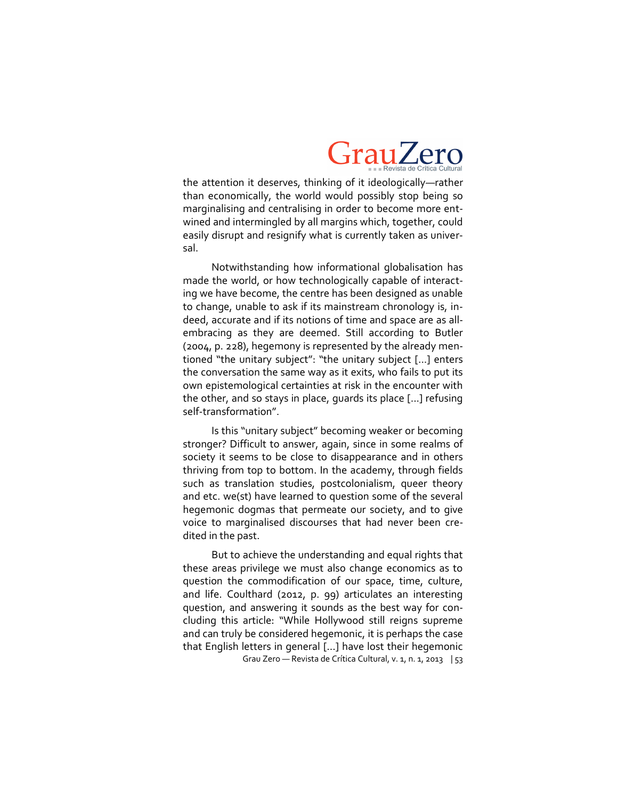

the attention it deserves, thinking of it ideologically—rather than economically, the world would possibly stop being so marginalising and centralising in order to become more entwined and intermingled by all margins which, together, could easily disrupt and resignify what is currently taken as universal.

Notwithstanding how informational globalisation has made the world, or how technologically capable of interacting we have become, the centre has been designed as unable to change, unable to ask if its mainstream chronology is, indeed, accurate and if its notions of time and space are as allembracing as they are deemed. Still according to Butler (2004, p. 228), hegemony is represented by the already mentioned "the unitary subject": "the unitary subject [...] enters the conversation the same way as it exits, who fails to put its own epistemological certainties at risk in the encounter with the other, and so stays in place, guards its place [...] refusing self-transformation".

Is this "unitary subject" becoming weaker or becoming stronger? Difficult to answer, again, since in some realms of society it seems to be close to disappearance and in others thriving from top to bottom. In the academy, through fields such as translation studies, postcolonialism, queer theory and etc. we(st) have learned to question some of the several hegemonic dogmas that permeate our society, and to give voice to marginalised discourses that had never been credited in the past.

Grau Zero — Revista de Crítica Cultural, v. 1, n. 1, 2013 | 53 But to achieve the understanding and equal rights that these areas privilege we must also change economics as to question the commodification of our space, time, culture, and life. Coulthard (2012, p. 99) articulates an interesting question, and answering it sounds as the best way for concluding this article: "While Hollywood still reigns supreme and can truly be considered hegemonic, it is perhaps the case that English letters in general [...] have lost their hegemonic